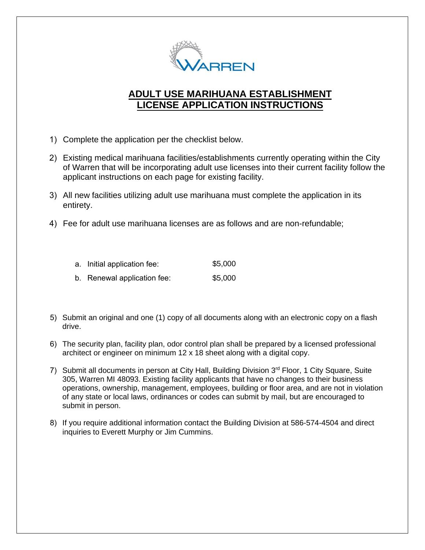

### **ADULT USE MARIHUANA ESTABLISHMENT LICENSE APPLICATION INSTRUCTIONS**

- 1) Complete the application per the checklist below.
- 2) Existing medical marihuana facilities/establishments currently operating within the City of Warren that will be incorporating adult use licenses into their current facility follow the applicant instructions on each page for existing facility.
- 3) All new facilities utilizing adult use marihuana must complete the application in its entirety.
- 4) Fee for adult use marihuana licenses are as follows and are non-refundable;

| a. Initial application fee: | \$5,000 |
|-----------------------------|---------|
| b. Renewal application fee: | \$5,000 |

- 5) Submit an original and one (1) copy of all documents along with an electronic copy on a flash drive.
- 6) The security plan, facility plan, odor control plan shall be prepared by a licensed professional architect or engineer on minimum 12 x 18 sheet along with a digital copy.
- 7) Submit all documents in person at City Hall, Building Division 3<sup>rd</sup> Floor, 1 City Square, Suite 305, Warren MI 48093. Existing facility applicants that have no changes to their business operations, ownership, management, employees, building or floor area, and are not in violation of any state or local laws, ordinances or codes can submit by mail, but are encouraged to submit in person.
- 8) If you require additional information contact the Building Division at 586-574-4504 and direct inquiries to Everett Murphy or Jim Cummins.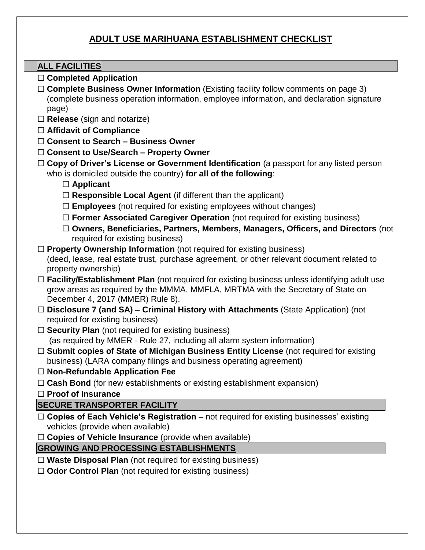### **ADULT USE MARIHUANA ESTABLISHMENT CHECKLIST**

#### **ALL FACILITIES**

- ☐ **Completed Application**
- □ **Complete Business Owner Information** (Existing facility follow comments on page 3) (complete business operation information, employee information, and declaration signature page)
- ☐ **Release** (sign and notarize)
- ☐ **Affidavit of Compliance**
- ☐ **Consent to Search – Business Owner**
- ☐ **Consent to Use/Search – Property Owner**
- □ **Copy of Driver's License or Government Identification** (a passport for any listed person who is domiciled outside the country) **for all of the following**:
	- ☐ **Applicant**
	- ☐ **Responsible Local Agent** (if different than the applicant)
	- ☐ **Employees** (not required for existing employees without changes)
	- ☐ **Former Associated Caregiver Operation** (not required for existing business)
	- ☐ **Owners, Beneficiaries, Partners, Members, Managers, Officers, and Directors** (not required for existing business)
- ☐ **Property Ownership Information** (not required for existing business) (deed, lease, real estate trust, purchase agreement, or other relevant document related to property ownership)
- □ **Facility/Establishment Plan** (not required for existing business unless identifying adult use grow areas as required by the MMMA, MMFLA, MRTMA with the Secretary of State on December 4, 2017 (MMER) Rule 8).
- ☐ **Disclosure 7 (and SA) – Criminal History with Attachments** (State Application) (not required for existing business)
- □ **Security Plan** (not required for existing business) (as required by MMER - Rule 27, including all alarm system information)
- ☐ **Submit copies of State of Michigan Business Entity License** (not required for existing business) (LARA company filings and business operating agreement)
- ☐ **Non-Refundable Application Fee**
- □ **Cash Bond** (for new establishments or existing establishment expansion)
- ☐ **Proof of Insurance**

### **SECURE TRANSPORTER FACILITY**

- ☐ **Copies of Each Vehicle's Registration** not required for existing businesses' existing vehicles (provide when available)
- ☐ **Copies of Vehicle Insurance** (provide when available)

#### **GROWING AND PROCESSING ESTABLISHMENTS**

- ☐ **Waste Disposal Plan** (not required for existing business)
- ☐ **Odor Control Plan** (not required for existing business)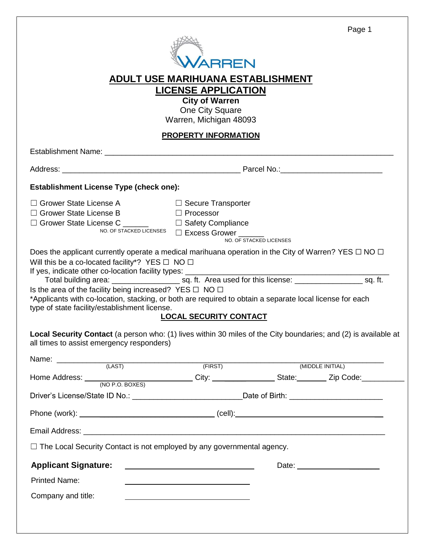|                                                                                                                                                                                                                                                                                                                                                                                                               | <b>RRFN</b><br><u>ADULT USE MARIHUANA ESTABLISHMENT</u><br><b>LICENSE APPLICATION</b><br><b>City of Warren</b><br>One City Square |                         | Page 1                          |
|---------------------------------------------------------------------------------------------------------------------------------------------------------------------------------------------------------------------------------------------------------------------------------------------------------------------------------------------------------------------------------------------------------------|-----------------------------------------------------------------------------------------------------------------------------------|-------------------------|---------------------------------|
|                                                                                                                                                                                                                                                                                                                                                                                                               | Warren, Michigan 48093                                                                                                            |                         |                                 |
|                                                                                                                                                                                                                                                                                                                                                                                                               | <b>PROPERTY INFORMATION</b>                                                                                                       |                         |                                 |
|                                                                                                                                                                                                                                                                                                                                                                                                               |                                                                                                                                   |                         |                                 |
|                                                                                                                                                                                                                                                                                                                                                                                                               |                                                                                                                                   |                         |                                 |
| <b>Establishment License Type (check one):</b>                                                                                                                                                                                                                                                                                                                                                                |                                                                                                                                   |                         |                                 |
| $\Box$ Grower State License A<br>$\Box$ Grower State License B                                                                                                                                                                                                                                                                                                                                                | $\Box$ Secure Transporter<br>□ Processor<br>NO. OF STACKED LICENSES<br>$\Box$ <b>Excess Grower</b>                                | NO. OF STACKED LICENSES |                                 |
| Does the applicant currently operate a medical marihuana operation in the City of Warren? YES $\Box$ NO $\Box$<br>Will this be a co-located facility*? YES $\Box$ NO $\Box$<br>Is the area of the facility being increased? YES $\Box$ NO $\Box$<br>*Applicants with co-location, stacking, or both are required to obtain a separate local license for each<br>type of state facility/establishment license. | <b>LOCAL SECURITY CONTACT</b>                                                                                                     |                         |                                 |
| Local Security Contact (a person who: (1) lives within 30 miles of the City boundaries; and (2) is available at<br>all times to assist emergency responders)                                                                                                                                                                                                                                                  |                                                                                                                                   |                         |                                 |
|                                                                                                                                                                                                                                                                                                                                                                                                               | (FIRST)                                                                                                                           |                         | (MIDDLE INITIAL)                |
| Home Address: (NO P.O. BOXES) City: City: State: Zip Code: City: City: City: City: City: City: City: City: City: City: City: City: City: City: City: City: City: City: City: City: City: City: City: City: City: City: City: C                                                                                                                                                                                |                                                                                                                                   |                         |                                 |
| Driver's License/State ID No.: ___________________________________Date of Birth: _________________________                                                                                                                                                                                                                                                                                                    |                                                                                                                                   |                         |                                 |
|                                                                                                                                                                                                                                                                                                                                                                                                               |                                                                                                                                   |                         |                                 |
|                                                                                                                                                                                                                                                                                                                                                                                                               |                                                                                                                                   |                         |                                 |
| $\Box$ The Local Security Contact is not employed by any governmental agency.                                                                                                                                                                                                                                                                                                                                 |                                                                                                                                   |                         |                                 |
| <b>Applicant Signature:</b><br><b>Printed Name:</b><br>Company and title:                                                                                                                                                                                                                                                                                                                                     |                                                                                                                                   |                         | Date: _________________________ |
|                                                                                                                                                                                                                                                                                                                                                                                                               |                                                                                                                                   |                         |                                 |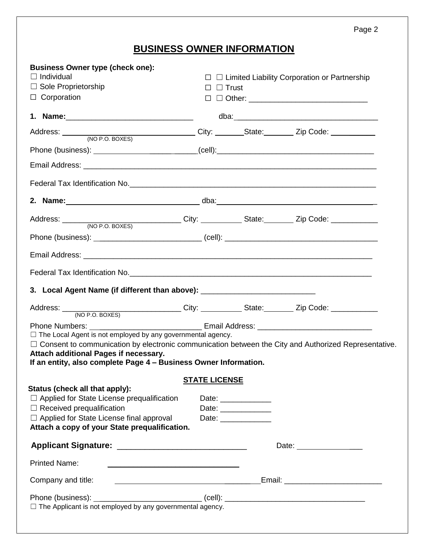Page 2

# **BUSINESS OWNER INFORMATION**

| <b>Business Owner type (check one):</b><br>$\Box$ Individual<br>$\Box$ Sole Proprietorship<br>$\Box$ Corporation                                                                                                                     | $\Box$ Trust<br>$\Box$ |                      | $\Box$ Limited Liability Corporation or Partnership |
|--------------------------------------------------------------------------------------------------------------------------------------------------------------------------------------------------------------------------------------|------------------------|----------------------|-----------------------------------------------------|
|                                                                                                                                                                                                                                      |                        |                      |                                                     |
|                                                                                                                                                                                                                                      |                        |                      |                                                     |
|                                                                                                                                                                                                                                      |                        |                      |                                                     |
|                                                                                                                                                                                                                                      |                        |                      |                                                     |
|                                                                                                                                                                                                                                      |                        |                      |                                                     |
|                                                                                                                                                                                                                                      |                        |                      |                                                     |
|                                                                                                                                                                                                                                      |                        |                      |                                                     |
|                                                                                                                                                                                                                                      |                        |                      |                                                     |
|                                                                                                                                                                                                                                      |                        |                      |                                                     |
| Federal Tax Identification No. <b>All and Security Control of the Control of Control Control of Control Control of Control of Control Control of Control of Control of Control of Control of Control of Control of Control of Co</b> |                        |                      |                                                     |
| 3. Local Agent Name (if different than above): _________________________________                                                                                                                                                     |                        |                      |                                                     |
|                                                                                                                                                                                                                                      |                        |                      |                                                     |
|                                                                                                                                                                                                                                      |                        |                      |                                                     |
| $\Box$ The Local Agent is not employed by any governmental agency.                                                                                                                                                                   |                        |                      |                                                     |
| $\Box$ Consent to communication by electronic communication between the City and Authorized Representative.<br>Attach additional Pages if necessary.                                                                                 |                        |                      |                                                     |
| If an entity, also complete Page 4 - Business Owner Information.                                                                                                                                                                     |                        |                      |                                                     |
|                                                                                                                                                                                                                                      | <b>STATE LICENSE</b>   |                      |                                                     |
| Status (check all that apply):<br>$\Box$ Applied for State License prequalification                                                                                                                                                  |                        | Date: ______________ |                                                     |
| $\Box$ Received prequalification                                                                                                                                                                                                     |                        | Date: _____________  |                                                     |
| □ Applied for State License final approval                                                                                                                                                                                           |                        | Date: _____________  |                                                     |
| Attach a copy of your State prequalification.                                                                                                                                                                                        |                        |                      |                                                     |
|                                                                                                                                                                                                                                      |                        |                      | Date: ________________                              |
| <b>Printed Name:</b><br><u> 1989 - Johann Barbara, margaret eta biztanleria (h. 1989).</u>                                                                                                                                           |                        |                      |                                                     |
| Company and title:                                                                                                                                                                                                                   |                        |                      |                                                     |
|                                                                                                                                                                                                                                      |                        |                      |                                                     |
| $\Box$ The Applicant is not employed by any governmental agency.                                                                                                                                                                     |                        |                      |                                                     |
|                                                                                                                                                                                                                                      |                        |                      |                                                     |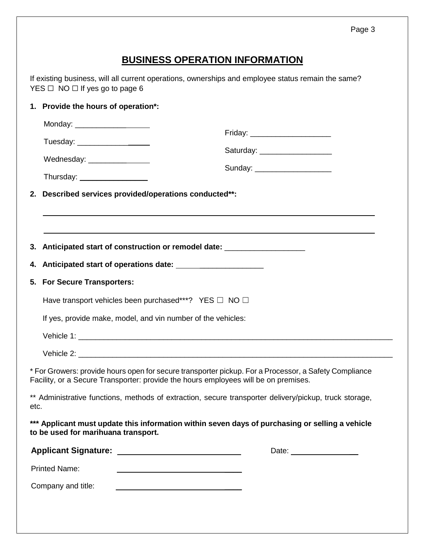## **BUSINESS OPERATION INFORMATION**

If existing business, will all current operations, ownerships and employee status remain the same?  $YES \Box NO \Box If yes go to page 6$ 

|      | 1. Provide the hours of operation*:                                                                                                                                                          |                                  |
|------|----------------------------------------------------------------------------------------------------------------------------------------------------------------------------------------------|----------------------------------|
|      |                                                                                                                                                                                              |                                  |
|      |                                                                                                                                                                                              | Friday: ________________________ |
|      | Wednesday: ___________________                                                                                                                                                               | Saturday: ___________________    |
|      |                                                                                                                                                                                              | Sunday: ______________________   |
|      | 2. Described services provided/operations conducted**:                                                                                                                                       |                                  |
|      |                                                                                                                                                                                              |                                  |
|      |                                                                                                                                                                                              |                                  |
|      | 3. Anticipated start of construction or remodel date: ____________________                                                                                                                   |                                  |
| 4.   |                                                                                                                                                                                              |                                  |
| 5.   | <b>For Secure Transporters:</b>                                                                                                                                                              |                                  |
|      | Have transport vehicles been purchased***? YES $\Box$ NO $\Box$                                                                                                                              |                                  |
|      | If yes, provide make, model, and vin number of the vehicles:                                                                                                                                 |                                  |
|      |                                                                                                                                                                                              |                                  |
|      |                                                                                                                                                                                              |                                  |
|      | * For Growers: provide hours open for secure transporter pickup. For a Processor, a Safety Compliance<br>Facility, or a Secure Transporter: provide the hours employees will be on premises. |                                  |
| etc. | ** Administrative functions, methods of extraction, secure transporter delivery/pickup, truck storage,                                                                                       |                                  |
|      | *** Applicant must update this information within seven days of purchasing or selling a vehicle<br>to be used for marihuana transport.                                                       |                                  |
|      |                                                                                                                                                                                              | Date: __________________         |
|      | <b>Printed Name:</b>                                                                                                                                                                         |                                  |
|      | Company and title:                                                                                                                                                                           |                                  |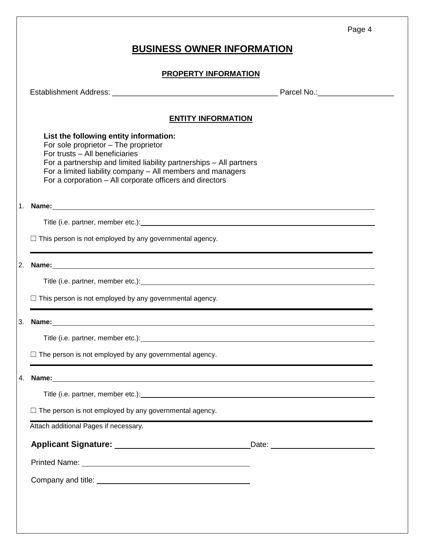|--|--|

### **BUSINESS OWNER INFORMATION**

#### **PROPERTY INFORMATION**

Establishment Address: \_\_\_\_\_\_\_\_\_\_\_\_\_\_\_\_\_\_\_\_\_\_\_\_\_\_\_\_\_\_\_\_\_\_\_\_\_\_\_ Parcel No.:\_\_\_\_\_\_\_\_\_\_\_\_\_\_\_\_\_\_

#### **ENTITY INFORMATION**

**List the following entity information:**  For sole proprietor – The proprietor For trusts – All beneficiaries For a partnership and limited liability partnerships – All partners For a limited liability company – All members and managers For a corporation – All corporate officers and directors

1. **Name:**

Title (i.e. partner, member etc.):

 $\Box$  This person is not employed by any governmental agency.

2. **Name:**

Title (i.e. partner, member etc.): Title (i.e. partner, member etc.):

 $\Box$  This person is not employed by any governmental agency.

3. **Name:**

Title (i.e. partner, member etc.):

 $\Box$  The person is not employed by any governmental agency.

4. **Name:**

Title (i.e. partner, member etc.): <u>comparent</u>

 $\Box$  The person is not employed by any governmental agency.

Attach additional Pages if necessary.

| <b>Applicant Signature:</b> |  |
|-----------------------------|--|
|-----------------------------|--|

**Applicant Signature:** Date:

Printed Name:

Company and title: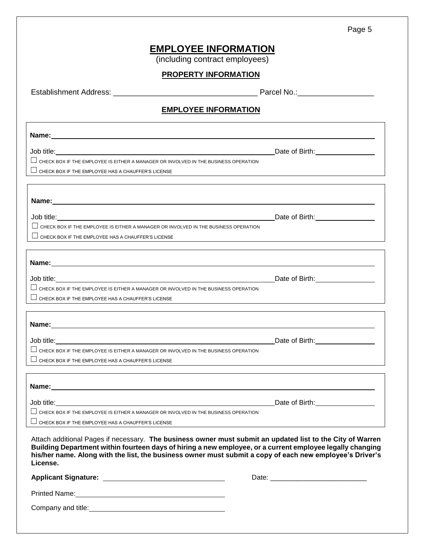### **EMPLOYEE INFORMATION**

(including contract employees)

#### **PROPERTY INFORMATION**

Establishment Address: \_\_\_\_\_\_\_\_\_\_\_\_\_\_\_\_\_\_\_\_\_\_\_\_\_\_\_\_\_\_\_\_\_\_ Parcel No.:\_\_\_\_\_\_\_\_\_\_\_\_\_\_\_\_\_\_

#### **EMPLOYEE INFORMATION**

<u> 1980 - Johann Barn, fransk politik (f. 1980)</u>

| Name: |  |
|-------|--|
|       |  |

Job title: Date of Birth:  $\Box$  CHECK BOX IF THE EMPLOYEE IS EITHER A MANAGER OR INVOLVED IN THE BUSINESS OPERATION  $\Box$  CHECK BOX IF THE EMPLOYEE HAS A CHAUFFER'S LICENSE

**Name:**

Job title: Date of Birth: Date of Birth: Date of Birth: Date of Birth: Date of Birth: Date of Birth: Date of Birth: Date of Birth: Date of Birth: Date of Birth: Date of Birth: Date of Birth: Date of Birth: Date of Birth: D

 $\Box$  CHECK BOX IF THE EMPLOYEE IS EITHER A MANAGER OR INVOLVED IN THE BUSINESS OPERATION

 $\Box$  CHECK BOX IF THE EMPLOYEE HAS A CHAUFFER'S LICENSE

| Name:                                                                               |                |
|-------------------------------------------------------------------------------------|----------------|
| Job title:                                                                          | Date of Birth: |
| CHECK BOX IF THE EMPLOYEE IS EITHER A MANAGER OR INVOLVED IN THE BUSINESS OPERATION |                |
| $\Box$ CHECK BOX IF THE EMPLOYEE HAS A CHAUFFER'S LICENSE                           |                |
|                                                                                     |                |

**Name:** Job title: Date of Birth:  $\Box$  CHECK BOX IF THE EMPLOYEE IS EITHER A MANAGER OR INVOLVED IN THE BUSINESS OPERATION  $\Box$  CHECK BOX IF THE EMPLOYEE HAS A CHAUFFER'S LICENSE

| Name:                                                                                      |                |  |
|--------------------------------------------------------------------------------------------|----------------|--|
| Job title:                                                                                 | Date of Birth: |  |
| $\Box$ CHECK BOX IF THE EMPLOYEE IS EITHER A MANAGER OR INVOLVED IN THE BUSINESS OPERATION |                |  |
| $\Box$ CHECK BOX IF THE EMPLOYEE HAS A CHAUFFER'S LICENSE                                  |                |  |

Attach additional Pages if necessary. **The business owner must submit an updated list to the City of Warren Building Department within fourteen days of hiring a new employee, or a current employee legally changing his/her name. Along with the list, the business owner must submit a copy of each new employee's Driver's License.** 

| <b>Applicant Signature:</b> | Date: |
|-----------------------------|-------|
| Printed Name:               |       |
| Company and title:          |       |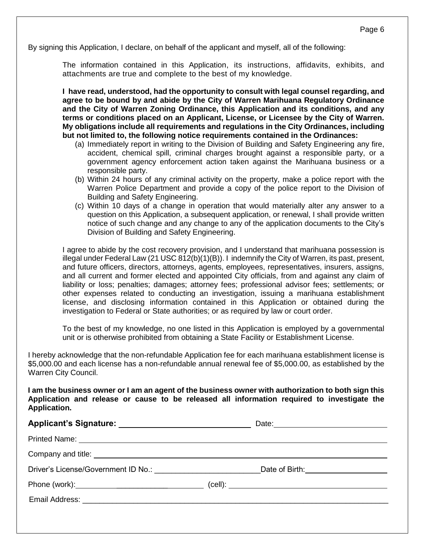By signing this Application, I declare, on behalf of the applicant and myself, all of the following:

The information contained in this Application, its instructions, affidavits, exhibits, and attachments are true and complete to the best of my knowledge.

**I have read, understood, had the opportunity to consult with legal counsel regarding, and agree to be bound by and abide by the City of Warren Marihuana Regulatory Ordinance and the City of Warren Zoning Ordinance, this Application and its conditions, and any terms or conditions placed on an Applicant, License, or Licensee by the City of Warren. My obligations include all requirements and regulations in the City Ordinances, including but not limited to, the following notice requirements contained in the Ordinances:**

- (a) Immediately report in writing to the Division of Building and Safety Engineering any fire, accident, chemical spill, criminal charges brought against a responsible party, or a government agency enforcement action taken against the Marihuana business or a responsible party.
- (b) Within 24 hours of any criminal activity on the property, make a police report with the Warren Police Department and provide a copy of the police report to the Division of Building and Safety Engineering.
- (c) Within 10 days of a change in operation that would materially alter any answer to a question on this Application, a subsequent application, or renewal, I shall provide written notice of such change and any change to any of the application documents to the City's Division of Building and Safety Engineering.

I agree to abide by the cost recovery provision, and I understand that marihuana possession is illegal under Federal Law (21 USC 812(b)(1)(B)). I indemnify the City of Warren, its past, present, and future officers, directors, attorneys, agents, employees, representatives, insurers, assigns, and all current and former elected and appointed City officials, from and against any claim of liability or loss; penalties; damages; attorney fees; professional advisor fees; settlements; or other expenses related to conducting an investigation, issuing a marihuana establishment license, and disclosing information contained in this Application or obtained during the investigation to Federal or State authorities; or as required by law or court order.

To the best of my knowledge, no one listed in this Application is employed by a governmental unit or is otherwise prohibited from obtaining a State Facility or Establishment License.

I hereby acknowledge that the non-refundable Application fee for each marihuana establishment license is \$5,000.00 and each license has a non-refundable annual renewal fee of \$5,000.00, as established by the Warren City Council.

**I am the business owner or I am an agent of the business owner with authorization to both sign this Application and release or cause to be released all information required to investigate the Application.** 

| Driver's License/Government ID No.: Notice and Contract the Contract of the Contract of True Contract of True Contract of True Contract of True Contract of True Contract of True Contract of True Contract of True Contract o | Date of Birth: National Property of Birth:   |
|--------------------------------------------------------------------------------------------------------------------------------------------------------------------------------------------------------------------------------|----------------------------------------------|
|                                                                                                                                                                                                                                | $\left(\text{cell}\right)$ : $\qquad \qquad$ |
|                                                                                                                                                                                                                                |                                              |
|                                                                                                                                                                                                                                |                                              |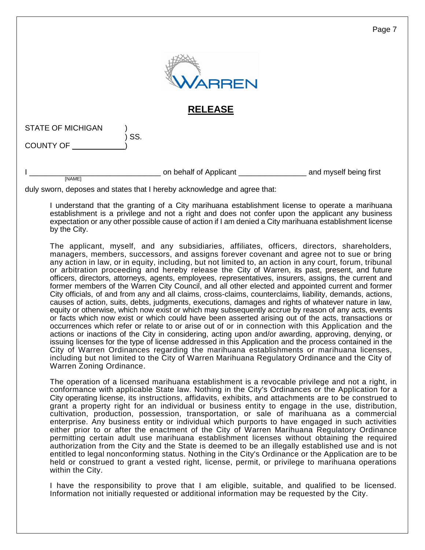|                          |     |                          | Page 7                 |
|--------------------------|-----|--------------------------|------------------------|
|                          |     | ARREN                    |                        |
|                          |     | <b>RELEASE</b>           |                        |
| <b>STATE OF MICHIGAN</b> |     |                          |                        |
| <b>COUNTY OF</b>         | SS. |                          |                        |
| [NAME]                   |     | on behalf of Applicant _ | and myself being first |

duly sworn, deposes and states that I hereby acknowledge and agree that:

I understand that the granting of a City marihuana establishment license to operate a marihuana establishment is a privilege and not a right and does not confer upon the applicant any business expectation or any other possible cause of action if I am denied a City marihuana establishment license by the City.

The applicant, myself, and any subsidiaries, affiliates, officers, directors, shareholders, managers, members, successors, and assigns forever covenant and agree not to sue or bring any action in law, or in equity, including, but not limited to, an action in any court, forum, tribunal or arbitration proceeding and hereby release the City of Warren, its past, present, and future officers, directors, attorneys, agents, employees, representatives, insurers, assigns, the current and former members of the Warren City Council, and all other elected and appointed current and former City officials, of and from any and all claims, cross-claims, counterclaims, liability, demands, actions, causes of action, suits, debts, judgments, executions, damages and rights of whatever nature in law, equity or otherwise, which now exist or which may subsequently accrue by reason of any acts, events or facts which now exist or which could have been asserted arising out of the acts, transactions or occurrences which refer or relate to or arise out of or in connection with this Application and the actions or inactions of the City in considering, acting upon and/or awarding, approving, denying, or issuing licenses for the type of license addressed in this Application and the process contained in the City of Warren Ordinances regarding the marihuana establishments or marihuana licenses, including but not limited to the City of Warren Marihuana Regulatory Ordinance and the City of Warren Zoning Ordinance.

The operation of a licensed marihuana establishment is a revocable privilege and not a right, in conformance with applicable State law. Nothing in the City's Ordinances or the Application for a City operating license, its instructions, affidavits, exhibits, and attachments are to be construed to grant a property right for an individual or business entity to engage in the use, distribution, cultivation, production, possession, transportation, or sale of marihuana as a commercial enterprise. Any business entity or individual which purports to have engaged in such activities either prior to or after the enactment of the City of Warren Marihuana Regulatory Ordinance permitting certain adult use marihuana establishment licenses without obtaining the required authorization from the City and the State is deemed to be an illegally established use and is not entitled to legal nonconforming status. Nothing in the City's Ordinance or the Application are to be held or construed to grant a vested right, license, permit, or privilege to marihuana operations within the City.

I have the responsibility to prove that I am eligible, suitable, and qualified to be licensed. Information not initially requested or additional information may be requested by the City.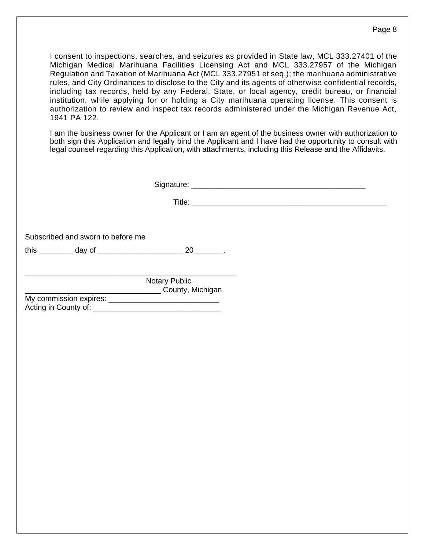I consent to inspections, searches, and seizures as provided in State law, MCL 333.27401 of the Michigan Medical Marihuana Facilities Licensing Act and MCL 333.27957 of the Michigan Regulation and Taxation of Marihuana Act (MCL 333.27951 et seq.); the marihuana administrative rules, and City Ordinances to disclose to the City and its agents of otherwise confidential records, including tax records, held by any Federal, State, or local agency, credit bureau, or financial institution, while applying for or holding a City marihuana operating license. This consent is authorization to review and inspect tax records administered under the Michigan Revenue Act, 1941 PA 122.

I am the business owner for the Applicant or I am an agent of the business owner with authorization to both sign this Application and legally bind the Applicant and I have had the opportunity to consult with legal counsel regarding this Application, with attachments, including this Release and the Affidavits.

Signature: \_\_\_\_\_\_\_\_\_\_\_\_\_\_\_\_\_\_\_\_\_\_\_\_\_\_\_\_\_\_\_\_\_\_\_\_\_\_\_\_\_

Title:

Subscribed and sworn to before me

this \_\_\_\_\_\_\_\_ day of \_\_\_\_\_\_\_\_\_\_\_\_\_\_\_\_\_\_\_\_ 20\_\_\_\_\_\_\_.

\_\_\_\_\_\_\_\_\_\_\_\_\_\_\_\_\_\_\_\_\_\_\_\_\_\_\_\_\_\_\_\_\_\_\_\_\_\_\_\_\_\_\_\_\_\_\_\_\_\_ Notary Public \_\_\_\_\_\_\_\_\_\_\_\_\_\_\_\_\_\_\_\_\_\_\_\_\_\_\_\_\_\_\_\_ County, Michigan My commission expires:

Acting in County of:  $\blacksquare$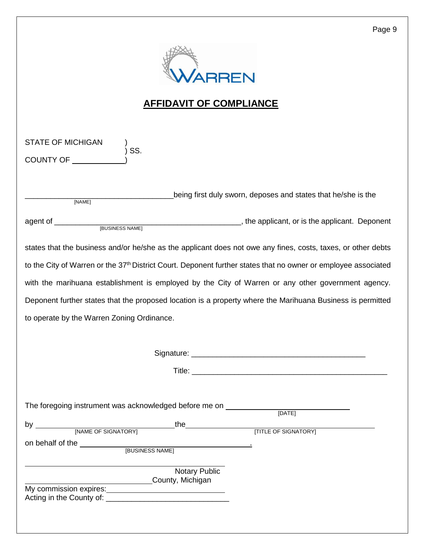

# **AFFIDAVIT OF COMPLIANCE**

| <b>STATE OF MICHIGAN</b>                                                                                                   |  |  |  |  |
|----------------------------------------------------------------------------------------------------------------------------|--|--|--|--|
| SS.<br>COUNTY OF <b>EXAMPLE STATE</b>                                                                                      |  |  |  |  |
|                                                                                                                            |  |  |  |  |
| being first duly sworn, deposes and states that he/she is the<br>[NAME]                                                    |  |  |  |  |
|                                                                                                                            |  |  |  |  |
| states that the business and/or he/she as the applicant does not owe any fines, costs, taxes, or other debts               |  |  |  |  |
| to the City of Warren or the 37 <sup>th</sup> District Court. Deponent further states that no owner or employee associated |  |  |  |  |
| with the marihuana establishment is employed by the City of Warren or any other government agency.                         |  |  |  |  |
| Deponent further states that the proposed location is a property where the Marihuana Business is permitted                 |  |  |  |  |
| to operate by the Warren Zoning Ordinance.                                                                                 |  |  |  |  |
|                                                                                                                            |  |  |  |  |
|                                                                                                                            |  |  |  |  |
|                                                                                                                            |  |  |  |  |
|                                                                                                                            |  |  |  |  |
| The foregoing instrument was acknowledged before me on ___________<br>[DATE]                                               |  |  |  |  |
|                                                                                                                            |  |  |  |  |
| on behalf of the __                                                                                                        |  |  |  |  |
| [BUSINESS NAME]                                                                                                            |  |  |  |  |
| Notary Public<br>County, Michigan                                                                                          |  |  |  |  |
| My commission expires:<br>My commission expires:                                                                           |  |  |  |  |
|                                                                                                                            |  |  |  |  |
|                                                                                                                            |  |  |  |  |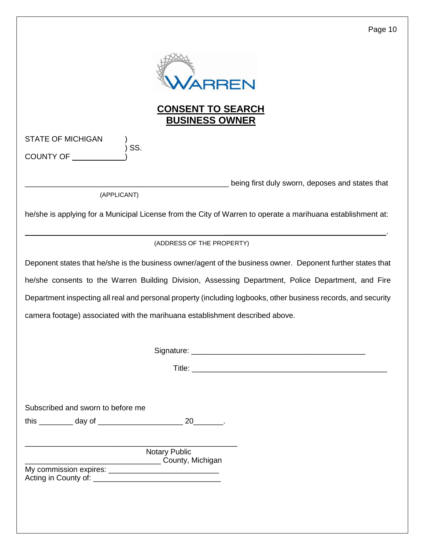|                                                                              |                                                   | Page 10                                                                                                        |
|------------------------------------------------------------------------------|---------------------------------------------------|----------------------------------------------------------------------------------------------------------------|
|                                                                              | ARREN                                             |                                                                                                                |
|                                                                              | <b>CONSENT TO SEARCH</b><br><b>BUSINESS OWNER</b> |                                                                                                                |
| <b>STATE OF MICHIGAN</b><br>SS.<br><b>COUNTY OF</b>                          |                                                   |                                                                                                                |
|                                                                              |                                                   | being first duly sworn, deposes and states that                                                                |
| (APPLICANT)                                                                  |                                                   | he/she is applying for a Municipal License from the City of Warren to operate a marihuana establishment at:    |
|                                                                              | (ADDRESS OF THE PROPERTY)                         |                                                                                                                |
|                                                                              |                                                   | Deponent states that he/she is the business owner/agent of the business owner. Deponent further states that    |
|                                                                              |                                                   | he/she consents to the Warren Building Division, Assessing Department, Police Department, and Fire             |
|                                                                              |                                                   | Department inspecting all real and personal property (including logbooks, other business records, and security |
| camera footage) associated with the marihuana establishment described above. |                                                   |                                                                                                                |
|                                                                              |                                                   |                                                                                                                |
|                                                                              |                                                   |                                                                                                                |
| Subscribed and sworn to before me                                            |                                                   |                                                                                                                |
|                                                                              |                                                   |                                                                                                                |
|                                                                              | <b>Notary Public</b><br>County, Michigan          |                                                                                                                |
|                                                                              |                                                   |                                                                                                                |